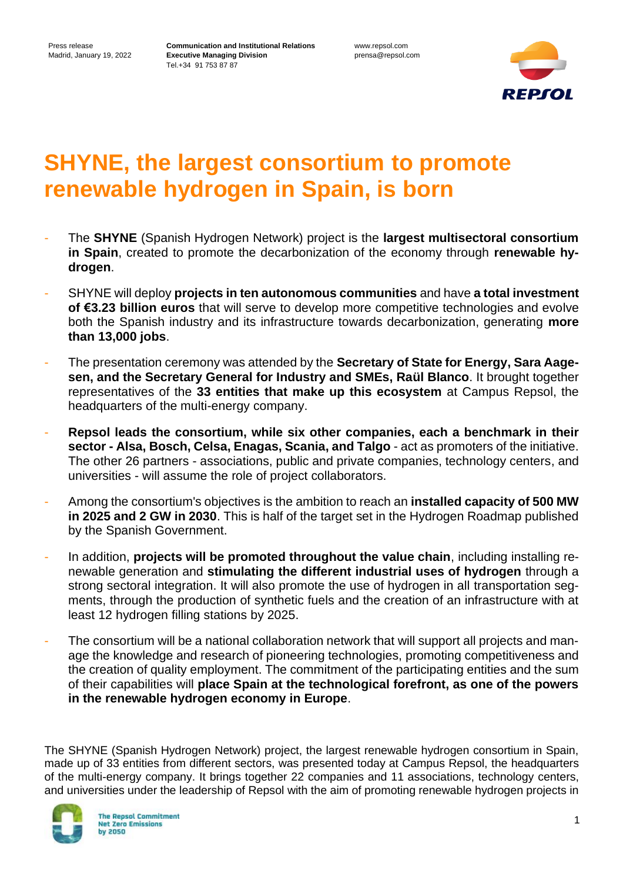www.repsol.com prensa@repsol.com



# **SHYNE, the largest consortium to promote renewable hydrogen in Spain, is born**

- The **SHYNE** (Spanish Hydrogen Network) project is the **largest multisectoral consortium in Spain**, created to promote the decarbonization of the economy through **renewable hydrogen**.
- SHYNE will deploy **projects in ten autonomous communities** and have **a total investment of €3.23 billion euros** that will serve to develop more competitive technologies and evolve both the Spanish industry and its infrastructure towards decarbonization, generating **more than 13,000 jobs**.
- The presentation ceremony was attended by the **Secretary of State for Energy, Sara Aagesen, and the Secretary General for Industry and SMEs, Raül Blanco**. It brought together representatives of the **33 entities that make up this ecosystem** at Campus Repsol, the headquarters of the multi-energy company.
- **Repsol leads the consortium, while six other companies, each a benchmark in their sector - Alsa, Bosch, Celsa, Enagas, Scania, and Talgo** - act as promoters of the initiative. The other 26 partners - associations, public and private companies, technology centers, and universities - will assume the role of project collaborators.
- Among the consortium's objectives is the ambition to reach an **installed capacity of 500 MW in 2025 and 2 GW in 2030**. This is half of the target set in the Hydrogen Roadmap published by the Spanish Government.
- In addition, **projects will be promoted throughout the value chain**, including installing renewable generation and **stimulating the different industrial uses of hydrogen** through a strong sectoral integration. It will also promote the use of hydrogen in all transportation segments, through the production of synthetic fuels and the creation of an infrastructure with at least 12 hydrogen filling stations by 2025.
- The consortium will be a national collaboration network that will support all projects and manage the knowledge and research of pioneering technologies, promoting competitiveness and the creation of quality employment. The commitment of the participating entities and the sum of their capabilities will **place Spain at the technological forefront, as one of the powers in the renewable hydrogen economy in Europe**.

The SHYNE (Spanish Hydrogen Network) project, the largest renewable hydrogen consortium in Spain, made up of 33 entities from different sectors, was presented today at Campus Repsol, the headquarters of the multi-energy company. It brings together 22 companies and 11 associations, technology centers, and universities under the leadership of Repsol with the aim of promoting renewable hydrogen projects in

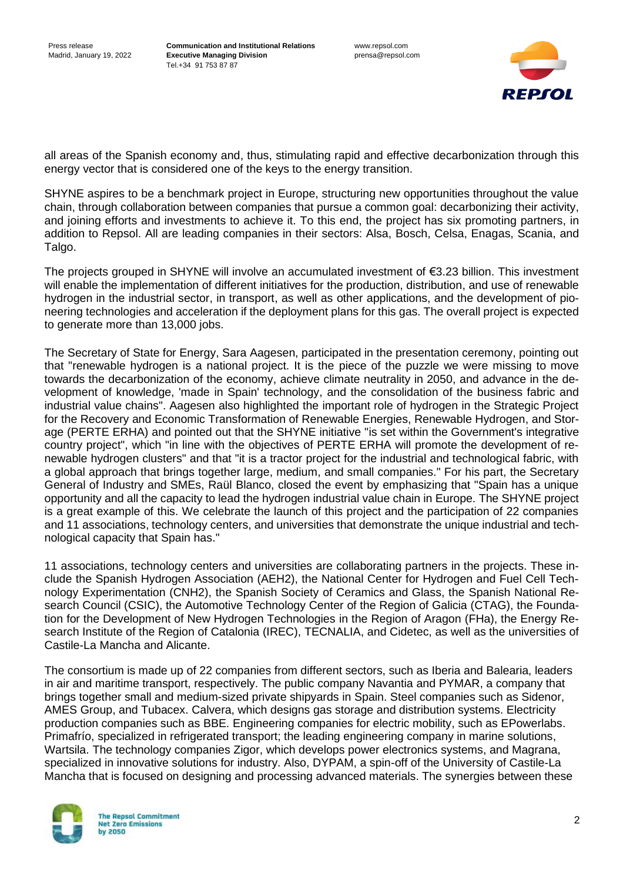

all areas of the Spanish economy and, thus, stimulating rapid and effective decarbonization through this energy vector that is considered one of the keys to the energy transition.

SHYNE aspires to be a benchmark project in Europe, structuring new opportunities throughout the value chain, through collaboration between companies that pursue a common goal: decarbonizing their activity, and joining efforts and investments to achieve it. To this end, the project has six promoting partners, in addition to Repsol. All are leading companies in their sectors: Alsa, Bosch, Celsa, Enagas, Scania, and Talgo.

The projects grouped in SHYNE will involve an accumulated investment of €3.23 billion. This investment will enable the implementation of different initiatives for the production, distribution, and use of renewable hydrogen in the industrial sector, in transport, as well as other applications, and the development of pioneering technologies and acceleration if the deployment plans for this gas. The overall project is expected to generate more than 13,000 jobs.

The Secretary of State for Energy, Sara Aagesen, participated in the presentation ceremony, pointing out that "renewable hydrogen is a national project. It is the piece of the puzzle we were missing to move towards the decarbonization of the economy, achieve climate neutrality in 2050, and advance in the development of knowledge, 'made in Spain' technology, and the consolidation of the business fabric and industrial value chains". Aagesen also highlighted the important role of hydrogen in the Strategic Project for the Recovery and Economic Transformation of Renewable Energies, Renewable Hydrogen, and Storage (PERTE ERHA) and pointed out that the SHYNE initiative "is set within the Government's integrative country project", which "in line with the objectives of PERTE ERHA will promote the development of renewable hydrogen clusters" and that "it is a tractor project for the industrial and technological fabric, with a global approach that brings together large, medium, and small companies." For his part, the Secretary General of Industry and SMEs, Raül Blanco, closed the event by emphasizing that "Spain has a unique opportunity and all the capacity to lead the hydrogen industrial value chain in Europe. The SHYNE project is a great example of this. We celebrate the launch of this project and the participation of 22 companies and 11 associations, technology centers, and universities that demonstrate the unique industrial and technological capacity that Spain has."

11 associations, technology centers and universities are collaborating partners in the projects. These include the Spanish Hydrogen Association (AEH2), the National Center for Hydrogen and Fuel Cell Technology Experimentation (CNH2), the Spanish Society of Ceramics and Glass, the Spanish National Research Council (CSIC), the Automotive Technology Center of the Region of Galicia (CTAG), the Foundation for the Development of New Hydrogen Technologies in the Region of Aragon (FHa), the Energy Research Institute of the Region of Catalonia (IREC), TECNALIA, and Cidetec, as well as the universities of Castile-La Mancha and Alicante.

The consortium is made up of 22 companies from different sectors, such as Iberia and Balearia, leaders in air and maritime transport, respectively. The public company Navantia and PYMAR, a company that brings together small and medium-sized private shipyards in Spain. Steel companies such as Sidenor, AMES Group, and Tubacex. Calvera, which designs gas storage and distribution systems. Electricity production companies such as BBE. Engineering companies for electric mobility, such as EPowerlabs. Primafrío, specialized in refrigerated transport; the leading engineering company in marine solutions, Wartsila. The technology companies Zigor, which develops power electronics systems, and Magrana, specialized in innovative solutions for industry. Also, DYPAM, a spin-off of the University of Castile-La Mancha that is focused on designing and processing advanced materials. The synergies between these

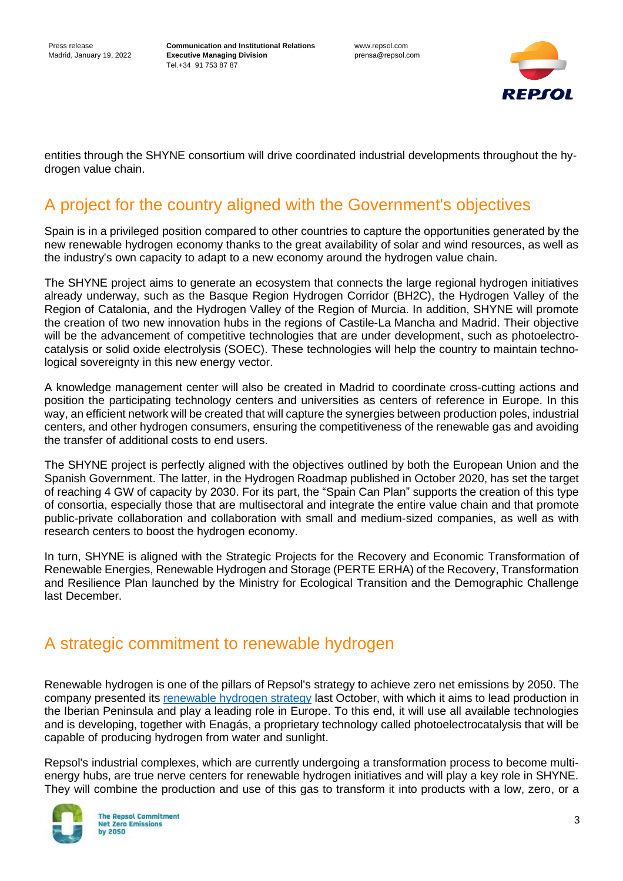www.repsol.com prensa@repsol.com



entities through the SHYNE consortium will drive coordinated industrial developments throughout the hydrogen value chain.

## A project for the country aligned with the Government's objectives

Spain is in a privileged position compared to other countries to capture the opportunities generated by the new renewable hydrogen economy thanks to the great availability of solar and wind resources, as well as the industry's own capacity to adapt to a new economy around the hydrogen value chain.

The SHYNE project aims to generate an ecosystem that connects the large regional hydrogen initiatives already underway, such as the Basque Region Hydrogen Corridor (BH2C), the Hydrogen Valley of the Region of Catalonia, and the Hydrogen Valley of the Region of Murcia. In addition, SHYNE will promote the creation of two new innovation hubs in the regions of Castile-La Mancha and Madrid. Their objective will be the advancement of competitive technologies that are under development, such as photoelectrocatalysis or solid oxide electrolysis (SOEC). These technologies will help the country to maintain technological sovereignty in this new energy vector.

A knowledge management center will also be created in Madrid to coordinate cross-cutting actions and position the participating technology centers and universities as centers of reference in Europe. In this way, an efficient network will be created that will capture the synergies between production poles, industrial centers, and other hydrogen consumers, ensuring the competitiveness of the renewable gas and avoiding the transfer of additional costs to end users.

The SHYNE project is perfectly aligned with the objectives outlined by both the European Union and the Spanish Government. The latter, in the Hydrogen Roadmap published in October 2020, has set the target of reaching 4 GW of capacity by 2030. For its part, the "Spain Can Plan" supports the creation of this type of consortia, especially those that are multisectoral and integrate the entire value chain and that promote public-private collaboration and collaboration with small and medium-sized companies, as well as with research centers to boost the hydrogen economy.

In turn, SHYNE is aligned with the Strategic Projects for the Recovery and Economic Transformation of Renewable Energies, Renewable Hydrogen and Storage (PERTE ERHA) of the Recovery, Transformation and Resilience Plan launched by the Ministry for Ecological Transition and the Demographic Challenge last December.

## A strategic commitment to renewable hydrogen

Renewable hydrogen is one of the pillars of Repsol's strategy to achieve zero net emissions by 2050. The company presented its [renewable hydrogen strategy](https://www.repsol.com/en/press-room/press-releases/2021/repsol-will-invest-2.549-billion-to-boost-renewable-hydrogen/index.cshtml#:~:text=The%20company%20has%20announced%20investments,zero%20net%20emissions%20by%202050.) last October, with which it aims to lead production in the Iberian Peninsula and play a leading role in Europe. To this end, it will use all available technologies and is developing, together with Enagás, a proprietary technology called photoelectrocatalysis that will be capable of producing hydrogen from water and sunlight.

Repsol's industrial complexes, which are currently undergoing a transformation process to become multienergy hubs, are true nerve centers for renewable hydrogen initiatives and will play a key role in SHYNE. They will combine the production and use of this gas to transform it into products with a low, zero, or a

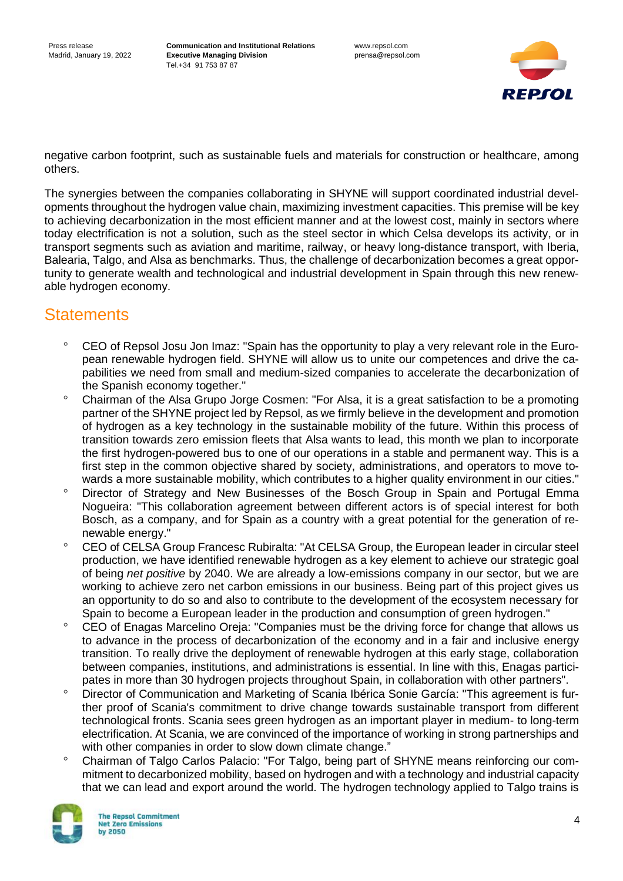

negative carbon footprint, such as sustainable fuels and materials for construction or healthcare, among others.

The synergies between the companies collaborating in SHYNE will support coordinated industrial developments throughout the hydrogen value chain, maximizing investment capacities. This premise will be key to achieving decarbonization in the most efficient manner and at the lowest cost, mainly in sectors where today electrification is not a solution, such as the steel sector in which Celsa develops its activity, or in transport segments such as aviation and maritime, railway, or heavy long-distance transport, with Iberia, Balearia, Talgo, and Alsa as benchmarks. Thus, the challenge of decarbonization becomes a great opportunity to generate wealth and technological and industrial development in Spain through this new renewable hydrogen economy.

## **Statements**

- CEO of Repsol Josu Jon Imaz: "Spain has the opportunity to play a very relevant role in the European renewable hydrogen field. SHYNE will allow us to unite our competences and drive the capabilities we need from small and medium-sized companies to accelerate the decarbonization of the Spanish economy together."
- Chairman of the Alsa Grupo Jorge Cosmen: "For Alsa, it is a great satisfaction to be a promoting partner of the SHYNE project led by Repsol, as we firmly believe in the development and promotion of hydrogen as a key technology in the sustainable mobility of the future. Within this process of transition towards zero emission fleets that Alsa wants to lead, this month we plan to incorporate the first hydrogen-powered bus to one of our operations in a stable and permanent way. This is a first step in the common objective shared by society, administrations, and operators to move towards a more sustainable mobility, which contributes to a higher quality environment in our cities."
- Director of Strategy and New Businesses of the Bosch Group in Spain and Portugal Emma Nogueira: "This collaboration agreement between different actors is of special interest for both Bosch, as a company, and for Spain as a country with a great potential for the generation of renewable energy."
- <sup>o</sup> CEO of CELSA Group Francesc Rubiralta: "At CELSA Group, the European leader in circular steel production, we have identified renewable hydrogen as a key element to achieve our strategic goal of being *net positive* by 2040. We are already a low-emissions company in our sector, but we are working to achieve zero net carbon emissions in our business. Being part of this project gives us an opportunity to do so and also to contribute to the development of the ecosystem necessary for Spain to become a European leader in the production and consumption of green hydrogen."
- <sup>o</sup> CEO of Enagas Marcelino Oreja: "Companies must be the driving force for change that allows us to advance in the process of decarbonization of the economy and in a fair and inclusive energy transition. To really drive the deployment of renewable hydrogen at this early stage, collaboration between companies, institutions, and administrations is essential. In line with this, Enagas participates in more than 30 hydrogen projects throughout Spain, in collaboration with other partners".
- <sup>o</sup> Director of Communication and Marketing of Scania Ibérica Sonie García: "This agreement is further proof of Scania's commitment to drive change towards sustainable transport from different technological fronts. Scania sees green hydrogen as an important player in medium- to long-term electrification. At Scania, we are convinced of the importance of working in strong partnerships and with other companies in order to slow down climate change."
- Chairman of Talgo Carlos Palacio: "For Talgo, being part of SHYNE means reinforcing our commitment to decarbonized mobility, based on hydrogen and with a technology and industrial capacity that we can lead and export around the world. The hydrogen technology applied to Talgo trains is